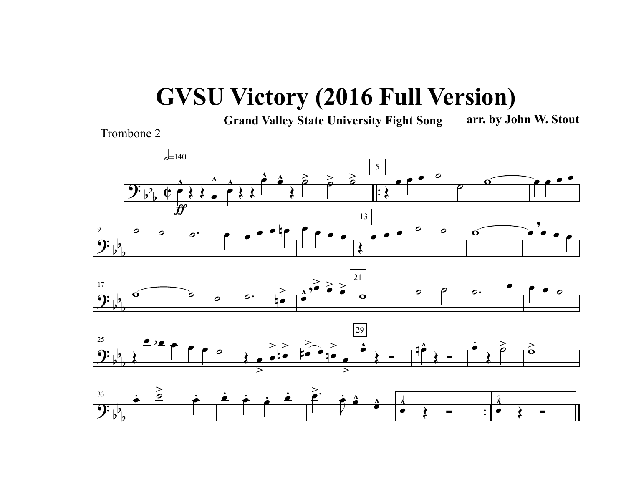## **GVSU Victory (2016 Full Version)**

**Grand Valley State University Fight Song arr. by John W. Stout**

Trombone 2



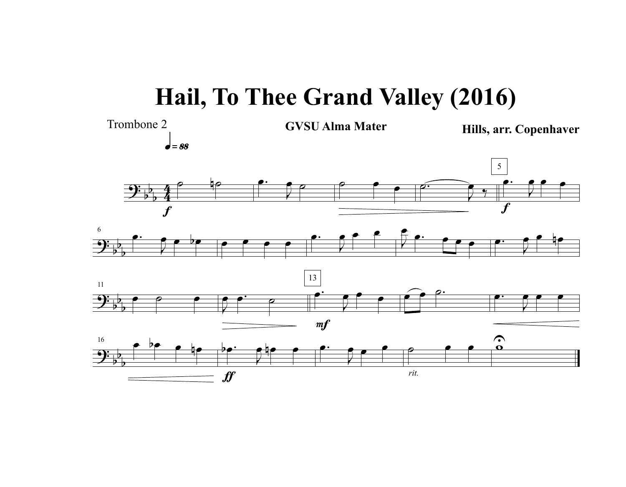## **Hail, To Thee Grand Valley (2016)**

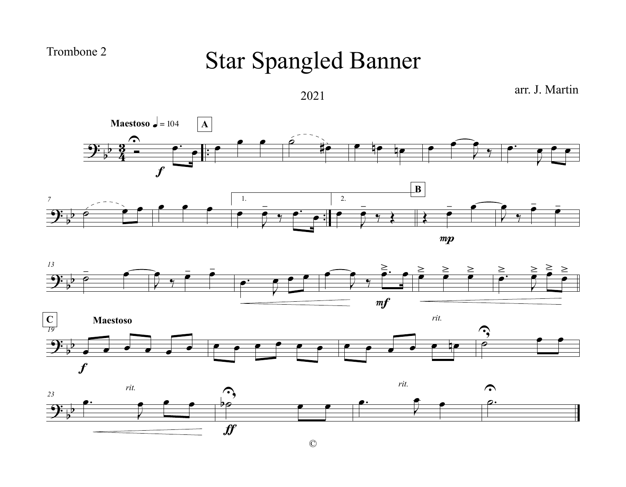Trombone 2

## Star Spangled Banner

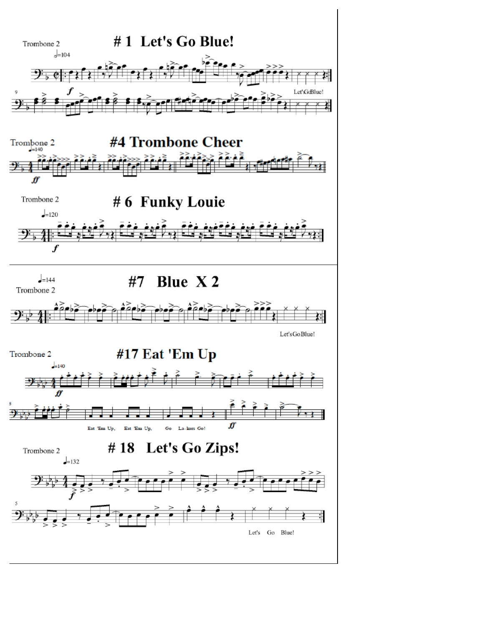